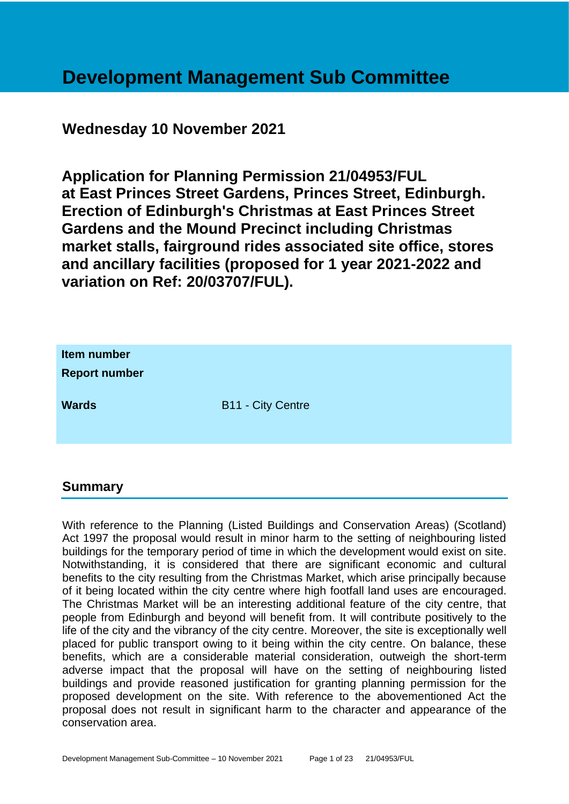# **Development Management Sub Committee**

# **Wednesday 10 November 2021**

**Application for Planning Permission 21/04953/FUL at East Princes Street Gardens, Princes Street, Edinburgh. Erection of Edinburgh's Christmas at East Princes Street Gardens and the Mound Precinct including Christmas market stalls, fairground rides associated site office, stores and ancillary facilities (proposed for 1 year 2021-2022 and variation on Ref: 20/03707/FUL).**

| Item number<br><b>Report number</b> |                          |
|-------------------------------------|--------------------------|
| <b>Wards</b>                        | <b>B11 - City Centre</b> |

#### **Summary**

With reference to the Planning (Listed Buildings and Conservation Areas) (Scotland) Act 1997 the proposal would result in minor harm to the setting of neighbouring listed buildings for the temporary period of time in which the development would exist on site. Notwithstanding, it is considered that there are significant economic and cultural benefits to the city resulting from the Christmas Market, which arise principally because of it being located within the city centre where high footfall land uses are encouraged. The Christmas Market will be an interesting additional feature of the city centre, that people from Edinburgh and beyond will benefit from. It will contribute positively to the life of the city and the vibrancy of the city centre. Moreover, the site is exceptionally well placed for public transport owing to it being within the city centre. On balance, these benefits, which are a considerable material consideration, outweigh the short-term adverse impact that the proposal will have on the setting of neighbouring listed buildings and provide reasoned justification for granting planning permission for the proposed development on the site. With reference to the abovementioned Act the proposal does not result in significant harm to the character and appearance of the conservation area.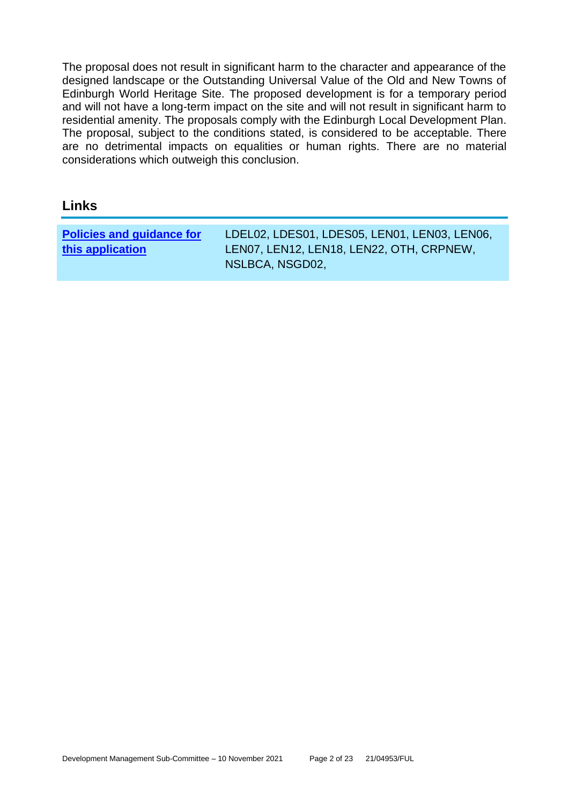The proposal does not result in significant harm to the character and appearance of the designed landscape or the Outstanding Universal Value of the Old and New Towns of Edinburgh World Heritage Site. The proposed development is for a temporary period and will not have a long-term impact on the site and will not result in significant harm to residential amenity. The proposals comply with the Edinburgh Local Development Plan. The proposal, subject to the conditions stated, is considered to be acceptable. There are no detrimental impacts on equalities or human rights. There are no material considerations which outweigh this conclusion.

#### **Links**

| <b>Policies and guidance for</b> | LDEL02, LDES01, LDES05, LEN01, LEN03, LEN06, |
|----------------------------------|----------------------------------------------|
| this application                 | LEN07, LEN12, LEN18, LEN22, OTH, CRPNEW,     |
|                                  | NSLBCA, NSGD02,                              |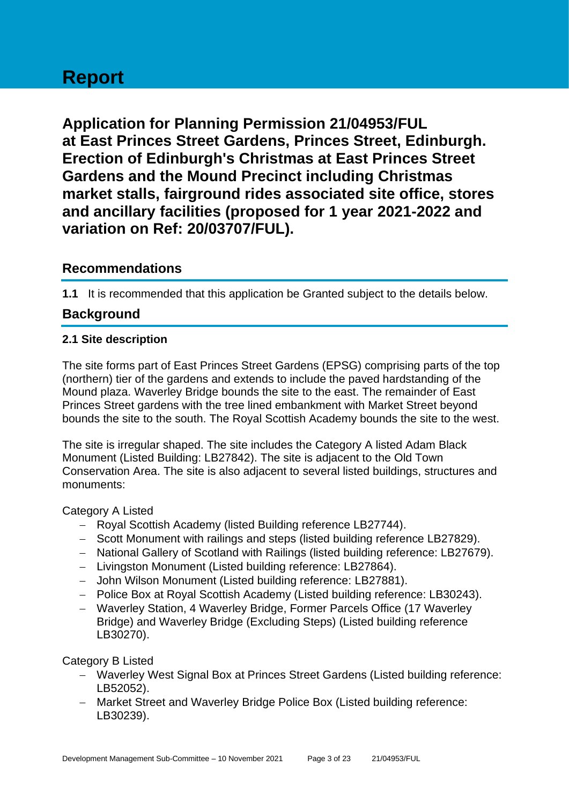# **Report**

**Application for Planning Permission 21/04953/FUL at East Princes Street Gardens, Princes Street, Edinburgh. Erection of Edinburgh's Christmas at East Princes Street Gardens and the Mound Precinct including Christmas market stalls, fairground rides associated site office, stores and ancillary facilities (proposed for 1 year 2021-2022 and variation on Ref: 20/03707/FUL).**

### **Recommendations**

**1.1** It is recommended that this application be Granted subject to the details below.

# **Background**

#### **2.1 Site description**

The site forms part of East Princes Street Gardens (EPSG) comprising parts of the top (northern) tier of the gardens and extends to include the paved hardstanding of the Mound plaza. Waverley Bridge bounds the site to the east. The remainder of East Princes Street gardens with the tree lined embankment with Market Street beyond bounds the site to the south. The Royal Scottish Academy bounds the site to the west.

The site is irregular shaped. The site includes the Category A listed Adam Black Monument (Listed Building: LB27842). The site is adjacent to the Old Town Conservation Area. The site is also adjacent to several listed buildings, structures and monuments:

#### Category A Listed

- − Royal Scottish Academy (listed Building reference LB27744).
- − Scott Monument with railings and steps (listed building reference LB27829).
- − National Gallery of Scotland with Railings (listed building reference: LB27679).
- − Livingston Monument (Listed building reference: LB27864).
- − John Wilson Monument (Listed building reference: LB27881).
- − Police Box at Royal Scottish Academy (Listed building reference: LB30243).
- − Waverley Station, 4 Waverley Bridge, Former Parcels Office (17 Waverley Bridge) and Waverley Bridge (Excluding Steps) (Listed building reference LB30270).

#### Category B Listed

- − Waverley West Signal Box at Princes Street Gardens (Listed building reference: LB52052).
- − Market Street and Waverley Bridge Police Box (Listed building reference: LB30239).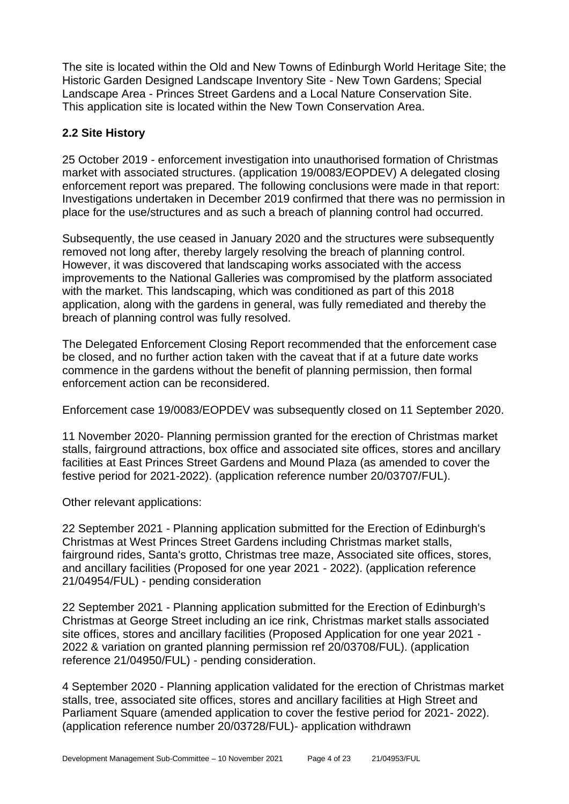The site is located within the Old and New Towns of Edinburgh World Heritage Site; the Historic Garden Designed Landscape Inventory Site - New Town Gardens; Special Landscape Area - Princes Street Gardens and a Local Nature Conservation Site. This application site is located within the New Town Conservation Area.

#### **2.2 Site History**

25 October 2019 - enforcement investigation into unauthorised formation of Christmas market with associated structures. (application 19/0083/EOPDEV) A delegated closing enforcement report was prepared. The following conclusions were made in that report: Investigations undertaken in December 2019 confirmed that there was no permission in place for the use/structures and as such a breach of planning control had occurred.

Subsequently, the use ceased in January 2020 and the structures were subsequently removed not long after, thereby largely resolving the breach of planning control. However, it was discovered that landscaping works associated with the access improvements to the National Galleries was compromised by the platform associated with the market. This landscaping, which was conditioned as part of this 2018 application, along with the gardens in general, was fully remediated and thereby the breach of planning control was fully resolved.

The Delegated Enforcement Closing Report recommended that the enforcement case be closed, and no further action taken with the caveat that if at a future date works commence in the gardens without the benefit of planning permission, then formal enforcement action can be reconsidered.

Enforcement case 19/0083/EOPDEV was subsequently closed on 11 September 2020.

11 November 2020- Planning permission granted for the erection of Christmas market stalls, fairground attractions, box office and associated site offices, stores and ancillary facilities at East Princes Street Gardens and Mound Plaza (as amended to cover the festive period for 2021-2022). (application reference number 20/03707/FUL).

Other relevant applications:

22 September 2021 - Planning application submitted for the Erection of Edinburgh's Christmas at West Princes Street Gardens including Christmas market stalls, fairground rides, Santa's grotto, Christmas tree maze, Associated site offices, stores, and ancillary facilities (Proposed for one year 2021 - 2022). (application reference 21/04954/FUL) - pending consideration

22 September 2021 - Planning application submitted for the Erection of Edinburgh's Christmas at George Street including an ice rink, Christmas market stalls associated site offices, stores and ancillary facilities (Proposed Application for one year 2021 - 2022 & variation on granted planning permission ref 20/03708/FUL). (application reference 21/04950/FUL) - pending consideration.

4 September 2020 - Planning application validated for the erection of Christmas market stalls, tree, associated site offices, stores and ancillary facilities at High Street and Parliament Square (amended application to cover the festive period for 2021- 2022). (application reference number 20/03728/FUL)- application withdrawn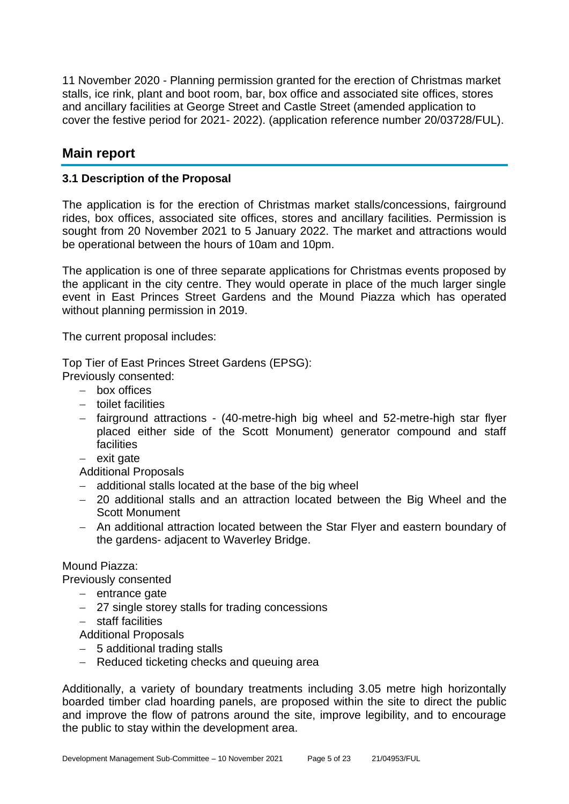11 November 2020 - Planning permission granted for the erection of Christmas market stalls, ice rink, plant and boot room, bar, box office and associated site offices, stores and ancillary facilities at George Street and Castle Street (amended application to cover the festive period for 2021- 2022). (application reference number 20/03728/FUL).

# **Main report**

#### **3.1 Description of the Proposal**

The application is for the erection of Christmas market stalls/concessions, fairground rides, box offices, associated site offices, stores and ancillary facilities. Permission is sought from 20 November 2021 to 5 January 2022. The market and attractions would be operational between the hours of 10am and 10pm.

The application is one of three separate applications for Christmas events proposed by the applicant in the city centre. They would operate in place of the much larger single event in East Princes Street Gardens and the Mound Piazza which has operated without planning permission in 2019.

The current proposal includes:

Top Tier of East Princes Street Gardens (EPSG):

Previously consented:

- − box offices
- − toilet facilities
- − fairground attractions (40-metre-high big wheel and 52-metre-high star flyer placed either side of the Scott Monument) generator compound and staff facilities
- − exit gate

Additional Proposals

- − additional stalls located at the base of the big wheel
- − 20 additional stalls and an attraction located between the Big Wheel and the Scott Monument
- − An additional attraction located between the Star Flyer and eastern boundary of the gardens- adjacent to Waverley Bridge.

#### Mound Piazza:

Previously consented

- − entrance gate
- − 27 single storey stalls for trading concessions
- − staff facilities
- Additional Proposals
- − 5 additional trading stalls
- − Reduced ticketing checks and queuing area

Additionally, a variety of boundary treatments including 3.05 metre high horizontally boarded timber clad hoarding panels, are proposed within the site to direct the public and improve the flow of patrons around the site, improve legibility, and to encourage the public to stay within the development area.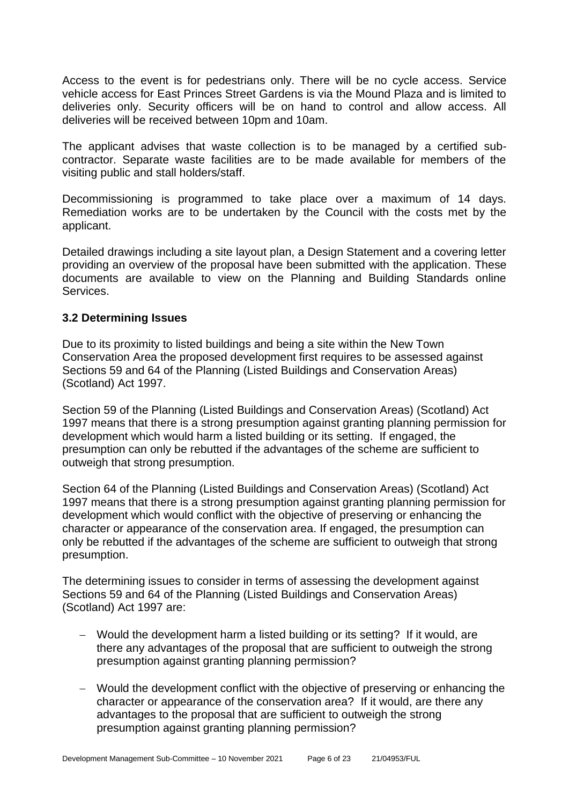Access to the event is for pedestrians only. There will be no cycle access. Service vehicle access for East Princes Street Gardens is via the Mound Plaza and is limited to deliveries only. Security officers will be on hand to control and allow access. All deliveries will be received between 10pm and 10am.

The applicant advises that waste collection is to be managed by a certified subcontractor. Separate waste facilities are to be made available for members of the visiting public and stall holders/staff.

Decommissioning is programmed to take place over a maximum of 14 days. Remediation works are to be undertaken by the Council with the costs met by the applicant.

Detailed drawings including a site layout plan, a Design Statement and a covering letter providing an overview of the proposal have been submitted with the application. These documents are available to view on the Planning and Building Standards online Services.

#### **3.2 Determining Issues**

Due to its proximity to listed buildings and being a site within the New Town Conservation Area the proposed development first requires to be assessed against Sections 59 and 64 of the Planning (Listed Buildings and Conservation Areas) (Scotland) Act 1997.

Section 59 of the Planning (Listed Buildings and Conservation Areas) (Scotland) Act 1997 means that there is a strong presumption against granting planning permission for development which would harm a listed building or its setting. If engaged, the presumption can only be rebutted if the advantages of the scheme are sufficient to outweigh that strong presumption.

Section 64 of the Planning (Listed Buildings and Conservation Areas) (Scotland) Act 1997 means that there is a strong presumption against granting planning permission for development which would conflict with the objective of preserving or enhancing the character or appearance of the conservation area. If engaged, the presumption can only be rebutted if the advantages of the scheme are sufficient to outweigh that strong presumption.

The determining issues to consider in terms of assessing the development against Sections 59 and 64 of the Planning (Listed Buildings and Conservation Areas) (Scotland) Act 1997 are:

- − Would the development harm a listed building or its setting? If it would, are there any advantages of the proposal that are sufficient to outweigh the strong presumption against granting planning permission?
- − Would the development conflict with the objective of preserving or enhancing the character or appearance of the conservation area? If it would, are there any advantages to the proposal that are sufficient to outweigh the strong presumption against granting planning permission?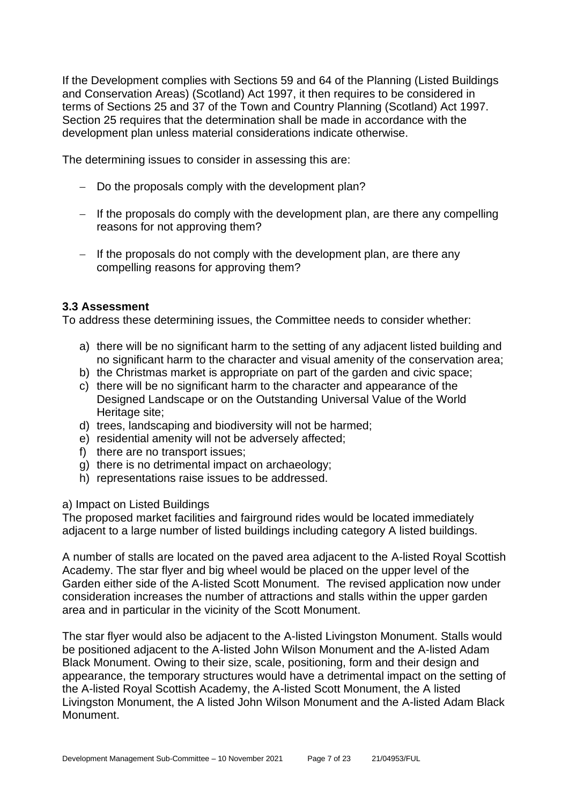If the Development complies with Sections 59 and 64 of the Planning (Listed Buildings and Conservation Areas) (Scotland) Act 1997, it then requires to be considered in terms of Sections 25 and 37 of the Town and Country Planning (Scotland) Act 1997. Section 25 requires that the determination shall be made in accordance with the development plan unless material considerations indicate otherwise.

The determining issues to consider in assessing this are:

- − Do the proposals comply with the development plan?
- − If the proposals do comply with the development plan, are there any compelling reasons for not approving them?
- − If the proposals do not comply with the development plan, are there any compelling reasons for approving them?

#### **3.3 Assessment**

To address these determining issues, the Committee needs to consider whether:

- a) there will be no significant harm to the setting of any adjacent listed building and no significant harm to the character and visual amenity of the conservation area;
- b) the Christmas market is appropriate on part of the garden and civic space;
- c) there will be no significant harm to the character and appearance of the Designed Landscape or on the Outstanding Universal Value of the World Heritage site;
- d) trees, landscaping and biodiversity will not be harmed;
- e) residential amenity will not be adversely affected;
- f) there are no transport issues;
- g) there is no detrimental impact on archaeology;
- h) representations raise issues to be addressed.

#### a) Impact on Listed Buildings

The proposed market facilities and fairground rides would be located immediately adjacent to a large number of listed buildings including category A listed buildings.

A number of stalls are located on the paved area adjacent to the A-listed Royal Scottish Academy. The star flyer and big wheel would be placed on the upper level of the Garden either side of the A-listed Scott Monument. The revised application now under consideration increases the number of attractions and stalls within the upper garden area and in particular in the vicinity of the Scott Monument.

The star flyer would also be adjacent to the A-listed Livingston Monument. Stalls would be positioned adjacent to the A-listed John Wilson Monument and the A-listed Adam Black Monument. Owing to their size, scale, positioning, form and their design and appearance, the temporary structures would have a detrimental impact on the setting of the A-listed Royal Scottish Academy, the A-listed Scott Monument, the A listed Livingston Monument, the A listed John Wilson Monument and the A-listed Adam Black Monument.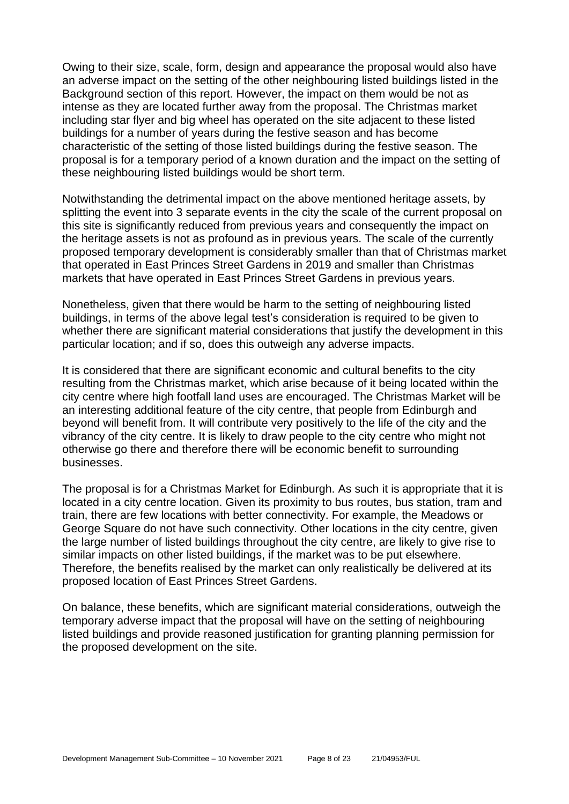Owing to their size, scale, form, design and appearance the proposal would also have an adverse impact on the setting of the other neighbouring listed buildings listed in the Background section of this report. However, the impact on them would be not as intense as they are located further away from the proposal. The Christmas market including star flyer and big wheel has operated on the site adjacent to these listed buildings for a number of years during the festive season and has become characteristic of the setting of those listed buildings during the festive season. The proposal is for a temporary period of a known duration and the impact on the setting of these neighbouring listed buildings would be short term.

Notwithstanding the detrimental impact on the above mentioned heritage assets, by splitting the event into 3 separate events in the city the scale of the current proposal on this site is significantly reduced from previous years and consequently the impact on the heritage assets is not as profound as in previous years. The scale of the currently proposed temporary development is considerably smaller than that of Christmas market that operated in East Princes Street Gardens in 2019 and smaller than Christmas markets that have operated in East Princes Street Gardens in previous years.

Nonetheless, given that there would be harm to the setting of neighbouring listed buildings, in terms of the above legal test's consideration is required to be given to whether there are significant material considerations that justify the development in this particular location; and if so, does this outweigh any adverse impacts.

It is considered that there are significant economic and cultural benefits to the city resulting from the Christmas market, which arise because of it being located within the city centre where high footfall land uses are encouraged. The Christmas Market will be an interesting additional feature of the city centre, that people from Edinburgh and beyond will benefit from. It will contribute very positively to the life of the city and the vibrancy of the city centre. It is likely to draw people to the city centre who might not otherwise go there and therefore there will be economic benefit to surrounding businesses.

The proposal is for a Christmas Market for Edinburgh. As such it is appropriate that it is located in a city centre location. Given its proximity to bus routes, bus station, tram and train, there are few locations with better connectivity. For example, the Meadows or George Square do not have such connectivity. Other locations in the city centre, given the large number of listed buildings throughout the city centre, are likely to give rise to similar impacts on other listed buildings, if the market was to be put elsewhere. Therefore, the benefits realised by the market can only realistically be delivered at its proposed location of East Princes Street Gardens.

On balance, these benefits, which are significant material considerations, outweigh the temporary adverse impact that the proposal will have on the setting of neighbouring listed buildings and provide reasoned justification for granting planning permission for the proposed development on the site.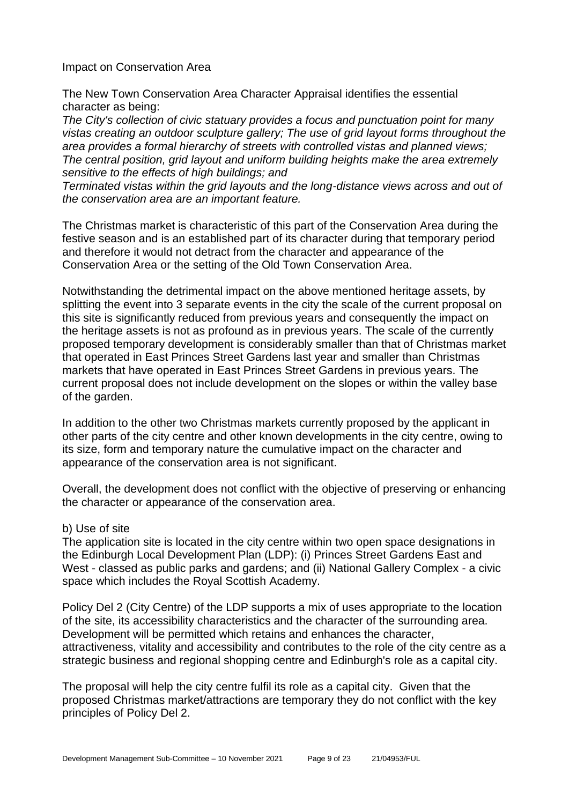Impact on Conservation Area

The New Town Conservation Area Character Appraisal identifies the essential character as being:

*The City's collection of civic statuary provides a focus and punctuation point for many vistas creating an outdoor sculpture gallery; The use of grid layout forms throughout the area provides a formal hierarchy of streets with controlled vistas and planned views; The central position, grid layout and uniform building heights make the area extremely sensitive to the effects of high buildings; and*

*Terminated vistas within the grid layouts and the long-distance views across and out of the conservation area are an important feature.*

The Christmas market is characteristic of this part of the Conservation Area during the festive season and is an established part of its character during that temporary period and therefore it would not detract from the character and appearance of the Conservation Area or the setting of the Old Town Conservation Area.

Notwithstanding the detrimental impact on the above mentioned heritage assets, by splitting the event into 3 separate events in the city the scale of the current proposal on this site is significantly reduced from previous years and consequently the impact on the heritage assets is not as profound as in previous years. The scale of the currently proposed temporary development is considerably smaller than that of Christmas market that operated in East Princes Street Gardens last year and smaller than Christmas markets that have operated in East Princes Street Gardens in previous years. The current proposal does not include development on the slopes or within the valley base of the garden.

In addition to the other two Christmas markets currently proposed by the applicant in other parts of the city centre and other known developments in the city centre, owing to its size, form and temporary nature the cumulative impact on the character and appearance of the conservation area is not significant.

Overall, the development does not conflict with the objective of preserving or enhancing the character or appearance of the conservation area.

#### b) Use of site

The application site is located in the city centre within two open space designations in the Edinburgh Local Development Plan (LDP): (i) Princes Street Gardens East and West - classed as public parks and gardens; and (ii) National Gallery Complex - a civic space which includes the Royal Scottish Academy.

Policy Del 2 (City Centre) of the LDP supports a mix of uses appropriate to the location of the site, its accessibility characteristics and the character of the surrounding area. Development will be permitted which retains and enhances the character, attractiveness, vitality and accessibility and contributes to the role of the city centre as a strategic business and regional shopping centre and Edinburgh's role as a capital city.

The proposal will help the city centre fulfil its role as a capital city. Given that the proposed Christmas market/attractions are temporary they do not conflict with the key principles of Policy Del 2.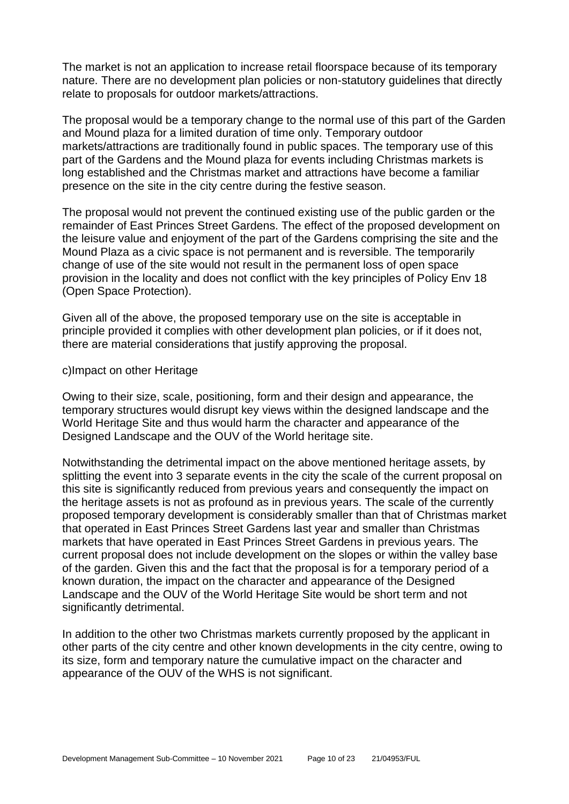The market is not an application to increase retail floorspace because of its temporary nature. There are no development plan policies or non-statutory guidelines that directly relate to proposals for outdoor markets/attractions.

The proposal would be a temporary change to the normal use of this part of the Garden and Mound plaza for a limited duration of time only. Temporary outdoor markets/attractions are traditionally found in public spaces. The temporary use of this part of the Gardens and the Mound plaza for events including Christmas markets is long established and the Christmas market and attractions have become a familiar presence on the site in the city centre during the festive season.

The proposal would not prevent the continued existing use of the public garden or the remainder of East Princes Street Gardens. The effect of the proposed development on the leisure value and enjoyment of the part of the Gardens comprising the site and the Mound Plaza as a civic space is not permanent and is reversible. The temporarily change of use of the site would not result in the permanent loss of open space provision in the locality and does not conflict with the key principles of Policy Env 18 (Open Space Protection).

Given all of the above, the proposed temporary use on the site is acceptable in principle provided it complies with other development plan policies, or if it does not, there are material considerations that justify approving the proposal.

#### c)Impact on other Heritage

Owing to their size, scale, positioning, form and their design and appearance, the temporary structures would disrupt key views within the designed landscape and the World Heritage Site and thus would harm the character and appearance of the Designed Landscape and the OUV of the World heritage site.

Notwithstanding the detrimental impact on the above mentioned heritage assets, by splitting the event into 3 separate events in the city the scale of the current proposal on this site is significantly reduced from previous years and consequently the impact on the heritage assets is not as profound as in previous years. The scale of the currently proposed temporary development is considerably smaller than that of Christmas market that operated in East Princes Street Gardens last year and smaller than Christmas markets that have operated in East Princes Street Gardens in previous years. The current proposal does not include development on the slopes or within the valley base of the garden. Given this and the fact that the proposal is for a temporary period of a known duration, the impact on the character and appearance of the Designed Landscape and the OUV of the World Heritage Site would be short term and not significantly detrimental.

In addition to the other two Christmas markets currently proposed by the applicant in other parts of the city centre and other known developments in the city centre, owing to its size, form and temporary nature the cumulative impact on the character and appearance of the OUV of the WHS is not significant.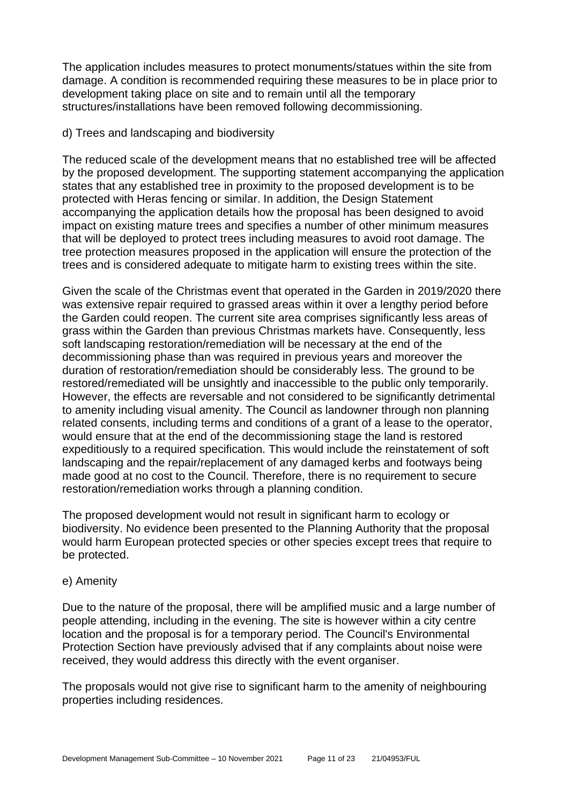The application includes measures to protect monuments/statues within the site from damage. A condition is recommended requiring these measures to be in place prior to development taking place on site and to remain until all the temporary structures/installations have been removed following decommissioning.

#### d) Trees and landscaping and biodiversity

The reduced scale of the development means that no established tree will be affected by the proposed development. The supporting statement accompanying the application states that any established tree in proximity to the proposed development is to be protected with Heras fencing or similar. In addition, the Design Statement accompanying the application details how the proposal has been designed to avoid impact on existing mature trees and specifies a number of other minimum measures that will be deployed to protect trees including measures to avoid root damage. The tree protection measures proposed in the application will ensure the protection of the trees and is considered adequate to mitigate harm to existing trees within the site.

Given the scale of the Christmas event that operated in the Garden in 2019/2020 there was extensive repair required to grassed areas within it over a lengthy period before the Garden could reopen. The current site area comprises significantly less areas of grass within the Garden than previous Christmas markets have. Consequently, less soft landscaping restoration/remediation will be necessary at the end of the decommissioning phase than was required in previous years and moreover the duration of restoration/remediation should be considerably less. The ground to be restored/remediated will be unsightly and inaccessible to the public only temporarily. However, the effects are reversable and not considered to be significantly detrimental to amenity including visual amenity. The Council as landowner through non planning related consents, including terms and conditions of a grant of a lease to the operator, would ensure that at the end of the decommissioning stage the land is restored expeditiously to a required specification. This would include the reinstatement of soft landscaping and the repair/replacement of any damaged kerbs and footways being made good at no cost to the Council. Therefore, there is no requirement to secure restoration/remediation works through a planning condition.

The proposed development would not result in significant harm to ecology or biodiversity. No evidence been presented to the Planning Authority that the proposal would harm European protected species or other species except trees that require to be protected.

#### e) Amenity

Due to the nature of the proposal, there will be amplified music and a large number of people attending, including in the evening. The site is however within a city centre location and the proposal is for a temporary period. The Council's Environmental Protection Section have previously advised that if any complaints about noise were received, they would address this directly with the event organiser.

The proposals would not give rise to significant harm to the amenity of neighbouring properties including residences.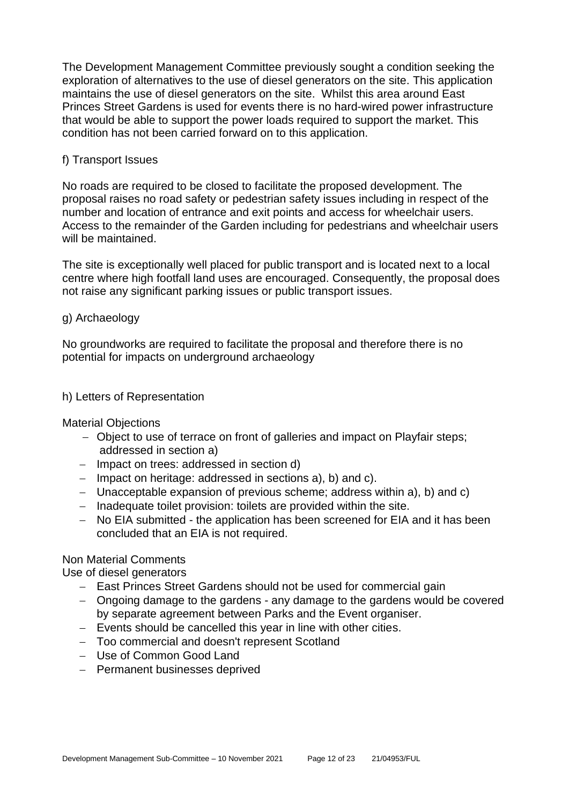The Development Management Committee previously sought a condition seeking the exploration of alternatives to the use of diesel generators on the site. This application maintains the use of diesel generators on the site. Whilst this area around East Princes Street Gardens is used for events there is no hard-wired power infrastructure that would be able to support the power loads required to support the market. This condition has not been carried forward on to this application.

#### f) Transport Issues

No roads are required to be closed to facilitate the proposed development. The proposal raises no road safety or pedestrian safety issues including in respect of the number and location of entrance and exit points and access for wheelchair users. Access to the remainder of the Garden including for pedestrians and wheelchair users will be maintained.

The site is exceptionally well placed for public transport and is located next to a local centre where high footfall land uses are encouraged. Consequently, the proposal does not raise any significant parking issues or public transport issues.

#### g) Archaeology

No groundworks are required to facilitate the proposal and therefore there is no potential for impacts on underground archaeology

#### h) Letters of Representation

Material Objections

- − Object to use of terrace on front of galleries and impact on Playfair steps; addressed in section a)
- − Impact on trees: addressed in section d)
- − Impact on heritage: addressed in sections a), b) and c).
- − Unacceptable expansion of previous scheme; address within a), b) and c)
- − Inadequate toilet provision: toilets are provided within the site.
- − No EIA submitted the application has been screened for EIA and it has been concluded that an EIA is not required.

#### Non Material Comments

Use of diesel generators

- − East Princes Street Gardens should not be used for commercial gain
- − Ongoing damage to the gardens any damage to the gardens would be covered by separate agreement between Parks and the Event organiser.
- − Events should be cancelled this year in line with other cities.
- − Too commercial and doesn't represent Scotland
- − Use of Common Good Land
- − Permanent businesses deprived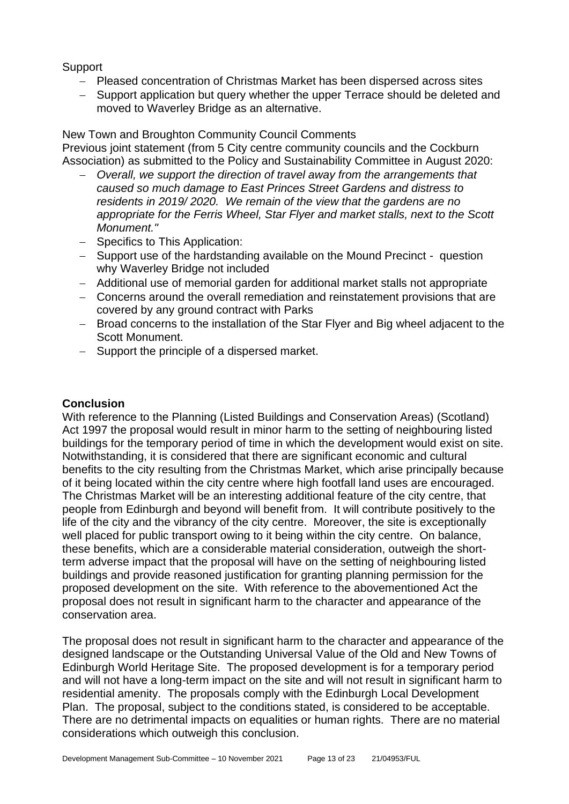Support

- − Pleased concentration of Christmas Market has been dispersed across sites
- − Support application but query whether the upper Terrace should be deleted and moved to Waverley Bridge as an alternative.

#### New Town and Broughton Community Council Comments

Previous joint statement (from 5 City centre community councils and the Cockburn Association) as submitted to the Policy and Sustainability Committee in August 2020:

- − *Overall, we support the direction of travel away from the arrangements that caused so much damage to East Princes Street Gardens and distress to residents in 2019/ 2020. We remain of the view that the gardens are no appropriate for the Ferris Wheel, Star Flyer and market stalls, next to the Scott Monument."*
- − Specifics to This Application:
- − Support use of the hardstanding available on the Mound Precinct question why Waverley Bridge not included
- − Additional use of memorial garden for additional market stalls not appropriate
- − Concerns around the overall remediation and reinstatement provisions that are covered by any ground contract with Parks
- − Broad concerns to the installation of the Star Flyer and Big wheel adjacent to the Scott Monument.
- − Support the principle of a dispersed market.

#### **Conclusion**

With reference to the Planning (Listed Buildings and Conservation Areas) (Scotland) Act 1997 the proposal would result in minor harm to the setting of neighbouring listed buildings for the temporary period of time in which the development would exist on site. Notwithstanding, it is considered that there are significant economic and cultural benefits to the city resulting from the Christmas Market, which arise principally because of it being located within the city centre where high footfall land uses are encouraged. The Christmas Market will be an interesting additional feature of the city centre, that people from Edinburgh and beyond will benefit from. It will contribute positively to the life of the city and the vibrancy of the city centre. Moreover, the site is exceptionally well placed for public transport owing to it being within the city centre. On balance, these benefits, which are a considerable material consideration, outweigh the shortterm adverse impact that the proposal will have on the setting of neighbouring listed buildings and provide reasoned justification for granting planning permission for the proposed development on the site. With reference to the abovementioned Act the proposal does not result in significant harm to the character and appearance of the conservation area.

The proposal does not result in significant harm to the character and appearance of the designed landscape or the Outstanding Universal Value of the Old and New Towns of Edinburgh World Heritage Site. The proposed development is for a temporary period and will not have a long-term impact on the site and will not result in significant harm to residential amenity. The proposals comply with the Edinburgh Local Development Plan. The proposal, subject to the conditions stated, is considered to be acceptable. There are no detrimental impacts on equalities or human rights. There are no material considerations which outweigh this conclusion.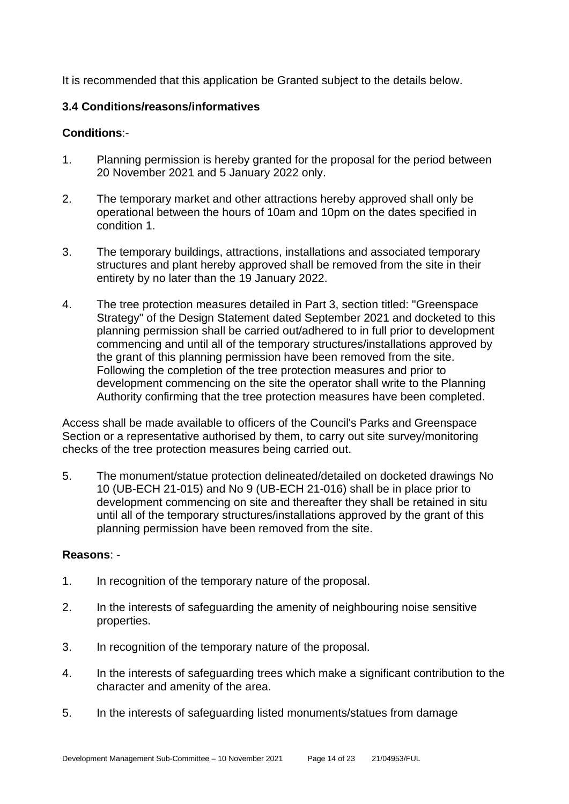It is recommended that this application be Granted subject to the details below.

#### **3.4 Conditions/reasons/informatives**

#### **Conditions**:-

- 1. Planning permission is hereby granted for the proposal for the period between 20 November 2021 and 5 January 2022 only.
- 2. The temporary market and other attractions hereby approved shall only be operational between the hours of 10am and 10pm on the dates specified in condition 1.
- 3. The temporary buildings, attractions, installations and associated temporary structures and plant hereby approved shall be removed from the site in their entirety by no later than the 19 January 2022.
- 4. The tree protection measures detailed in Part 3, section titled: "Greenspace Strategy" of the Design Statement dated September 2021 and docketed to this planning permission shall be carried out/adhered to in full prior to development commencing and until all of the temporary structures/installations approved by the grant of this planning permission have been removed from the site. Following the completion of the tree protection measures and prior to development commencing on the site the operator shall write to the Planning Authority confirming that the tree protection measures have been completed.

Access shall be made available to officers of the Council's Parks and Greenspace Section or a representative authorised by them, to carry out site survey/monitoring checks of the tree protection measures being carried out.

5. The monument/statue protection delineated/detailed on docketed drawings No 10 (UB-ECH 21-015) and No 9 (UB-ECH 21-016) shall be in place prior to development commencing on site and thereafter they shall be retained in situ until all of the temporary structures/installations approved by the grant of this planning permission have been removed from the site.

#### **Reasons**: -

- 1. In recognition of the temporary nature of the proposal.
- 2. In the interests of safeguarding the amenity of neighbouring noise sensitive properties.
- 3. In recognition of the temporary nature of the proposal.
- 4. In the interests of safeguarding trees which make a significant contribution to the character and amenity of the area.
- 5. In the interests of safeguarding listed monuments/statues from damage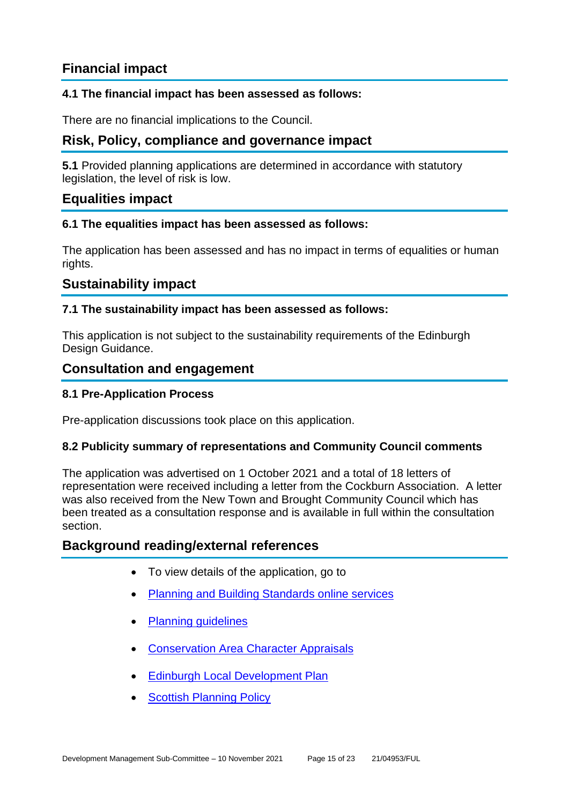# **Financial impact**

#### **4.1 The financial impact has been assessed as follows:**

There are no financial implications to the Council.

## **Risk, Policy, compliance and governance impact**

**5.1** Provided planning applications are determined in accordance with statutory legislation, the level of risk is low.

### **Equalities impact**

#### **6.1 The equalities impact has been assessed as follows:**

The application has been assessed and has no impact in terms of equalities or human rights.

### **Sustainability impact**

#### **7.1 The sustainability impact has been assessed as follows:**

This application is not subject to the sustainability requirements of the Edinburgh Design Guidance.

#### **Consultation and engagement**

#### **8.1 Pre-Application Process**

Pre-application discussions took place on this application.

#### **8.2 Publicity summary of representations and Community Council comments**

The application was advertised on 1 October 2021 and a total of 18 letters of representation were received including a letter from the Cockburn Association. A letter was also received from the New Town and Brought Community Council which has been treated as a consultation response and is available in full within the consultation section.

#### **Background reading/external references**

- To view details of the application, go to
- [Planning and Building Standards online services](https://citydev-portal.edinburgh.gov.uk/idoxpa-web/search.do?action=simple&searchType=Application)
- [Planning guidelines](http://www.edinburgh.gov.uk/planningguidelines)
- **[Conservation Area Character Appraisals](http://www.edinburgh.gov.uk/characterappraisals)**
- **[Edinburgh Local Development Plan](http://www.edinburgh.gov.uk/localdevelopmentplan)**
- **[Scottish Planning Policy](http://www.scotland.gov.uk/Topics/Built-Environment/planning/Policy)**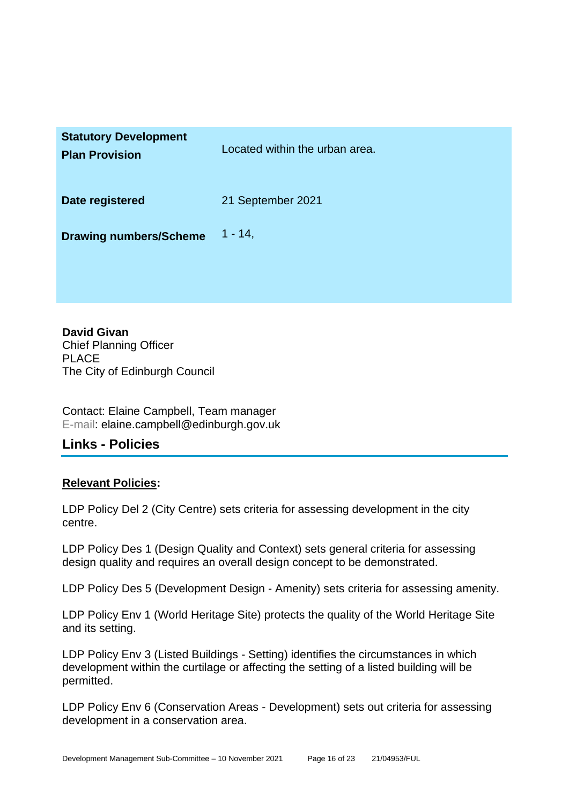| <b>Statutory Development</b><br><b>Plan Provision</b> | Located within the urban area. |
|-------------------------------------------------------|--------------------------------|
| Date registered                                       | 21 September 2021              |
| <b>Drawing numbers/Scheme</b>                         | $1 - 14$ ,                     |

**David Givan** Chief Planning Officer PLACE The City of Edinburgh Council

Contact: Elaine Campbell, Team manager E-mail: elaine.campbell@edinburgh.gov.uk

## **Links - Policies**

#### **Relevant Policies:**

LDP Policy Del 2 (City Centre) sets criteria for assessing development in the city centre.

LDP Policy Des 1 (Design Quality and Context) sets general criteria for assessing design quality and requires an overall design concept to be demonstrated.

LDP Policy Des 5 (Development Design - Amenity) sets criteria for assessing amenity.

LDP Policy Env 1 (World Heritage Site) protects the quality of the World Heritage Site and its setting.

LDP Policy Env 3 (Listed Buildings - Setting) identifies the circumstances in which development within the curtilage or affecting the setting of a listed building will be permitted.

LDP Policy Env 6 (Conservation Areas - Development) sets out criteria for assessing development in a conservation area.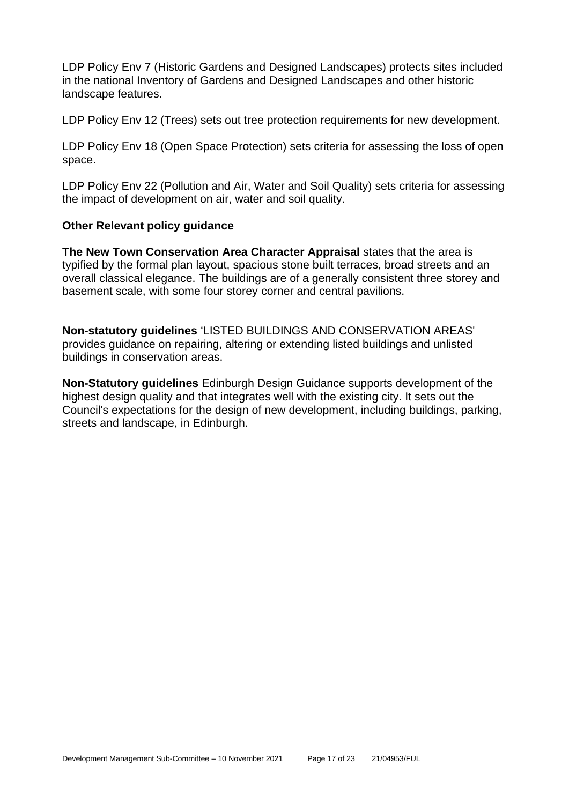LDP Policy Env 7 (Historic Gardens and Designed Landscapes) protects sites included in the national Inventory of Gardens and Designed Landscapes and other historic landscape features.

LDP Policy Env 12 (Trees) sets out tree protection requirements for new development.

LDP Policy Env 18 (Open Space Protection) sets criteria for assessing the loss of open space.

LDP Policy Env 22 (Pollution and Air, Water and Soil Quality) sets criteria for assessing the impact of development on air, water and soil quality.

#### **Other Relevant policy guidance**

**The New Town Conservation Area Character Appraisal** states that the area is typified by the formal plan layout, spacious stone built terraces, broad streets and an overall classical elegance. The buildings are of a generally consistent three storey and basement scale, with some four storey corner and central pavilions.

**Non-statutory guidelines** 'LISTED BUILDINGS AND CONSERVATION AREAS' provides guidance on repairing, altering or extending listed buildings and unlisted buildings in conservation areas.

**Non-Statutory guidelines** Edinburgh Design Guidance supports development of the highest design quality and that integrates well with the existing city. It sets out the Council's expectations for the design of new development, including buildings, parking, streets and landscape, in Edinburgh.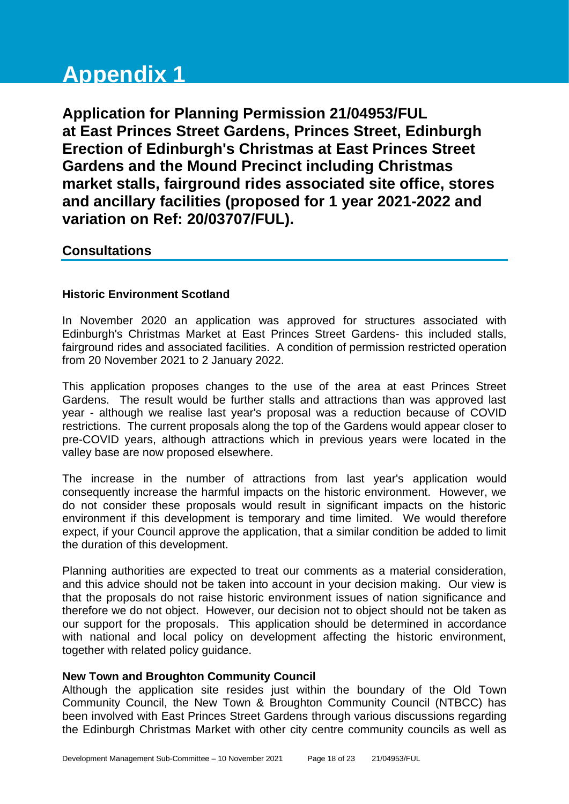# **Appendix 1**

**Application for Planning Permission 21/04953/FUL at East Princes Street Gardens, Princes Street, Edinburgh Erection of Edinburgh's Christmas at East Princes Street Gardens and the Mound Precinct including Christmas market stalls, fairground rides associated site office, stores and ancillary facilities (proposed for 1 year 2021-2022 and variation on Ref: 20/03707/FUL).**

### **Consultations**

#### **Historic Environment Scotland**

In November 2020 an application was approved for structures associated with Edinburgh's Christmas Market at East Princes Street Gardens- this included stalls, fairground rides and associated facilities. A condition of permission restricted operation from 20 November 2021 to 2 January 2022.

This application proposes changes to the use of the area at east Princes Street Gardens. The result would be further stalls and attractions than was approved last year - although we realise last year's proposal was a reduction because of COVID restrictions. The current proposals along the top of the Gardens would appear closer to pre-COVID years, although attractions which in previous years were located in the valley base are now proposed elsewhere.

The increase in the number of attractions from last year's application would consequently increase the harmful impacts on the historic environment. However, we do not consider these proposals would result in significant impacts on the historic environment if this development is temporary and time limited. We would therefore expect, if your Council approve the application, that a similar condition be added to limit the duration of this development.

Planning authorities are expected to treat our comments as a material consideration, and this advice should not be taken into account in your decision making. Our view is that the proposals do not raise historic environment issues of nation significance and therefore we do not object. However, our decision not to object should not be taken as our support for the proposals. This application should be determined in accordance with national and local policy on development affecting the historic environment, together with related policy guidance.

#### **New Town and Broughton Community Council**

Although the application site resides just within the boundary of the Old Town Community Council, the New Town & Broughton Community Council (NTBCC) has been involved with East Princes Street Gardens through various discussions regarding the Edinburgh Christmas Market with other city centre community councils as well as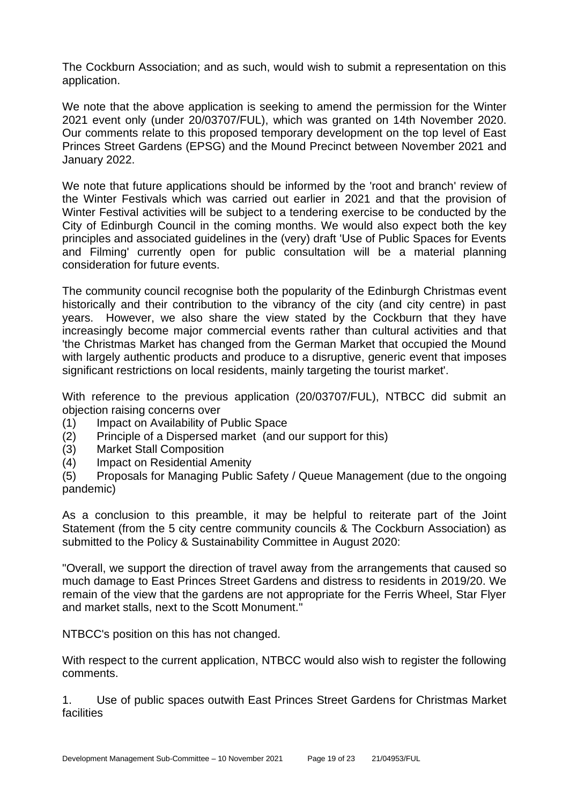The Cockburn Association; and as such, would wish to submit a representation on this application.

We note that the above application is seeking to amend the permission for the Winter 2021 event only (under 20/03707/FUL), which was granted on 14th November 2020. Our comments relate to this proposed temporary development on the top level of East Princes Street Gardens (EPSG) and the Mound Precinct between November 2021 and January 2022.

We note that future applications should be informed by the 'root and branch' review of the Winter Festivals which was carried out earlier in 2021 and that the provision of Winter Festival activities will be subject to a tendering exercise to be conducted by the City of Edinburgh Council in the coming months. We would also expect both the key principles and associated guidelines in the (very) draft 'Use of Public Spaces for Events and Filming' currently open for public consultation will be a material planning consideration for future events.

The community council recognise both the popularity of the Edinburgh Christmas event historically and their contribution to the vibrancy of the city (and city centre) in past years. However, we also share the view stated by the Cockburn that they have increasingly become major commercial events rather than cultural activities and that 'the Christmas Market has changed from the German Market that occupied the Mound with largely authentic products and produce to a disruptive, generic event that imposes significant restrictions on local residents, mainly targeting the tourist market'.

With reference to the previous application (20/03707/FUL), NTBCC did submit an objection raising concerns over

- (1) Impact on Availability of Public Space
- (2) Principle of a Dispersed market (and our support for this)
- (3) Market Stall Composition
- (4) Impact on Residential Amenity

(5) Proposals for Managing Public Safety / Queue Management (due to the ongoing pandemic)

As a conclusion to this preamble, it may be helpful to reiterate part of the Joint Statement (from the 5 city centre community councils & The Cockburn Association) as submitted to the Policy & Sustainability Committee in August 2020:

"Overall, we support the direction of travel away from the arrangements that caused so much damage to East Princes Street Gardens and distress to residents in 2019/20. We remain of the view that the gardens are not appropriate for the Ferris Wheel, Star Flyer and market stalls, next to the Scott Monument."

NTBCC's position on this has not changed.

With respect to the current application, NTBCC would also wish to register the following comments.

1. Use of public spaces outwith East Princes Street Gardens for Christmas Market facilities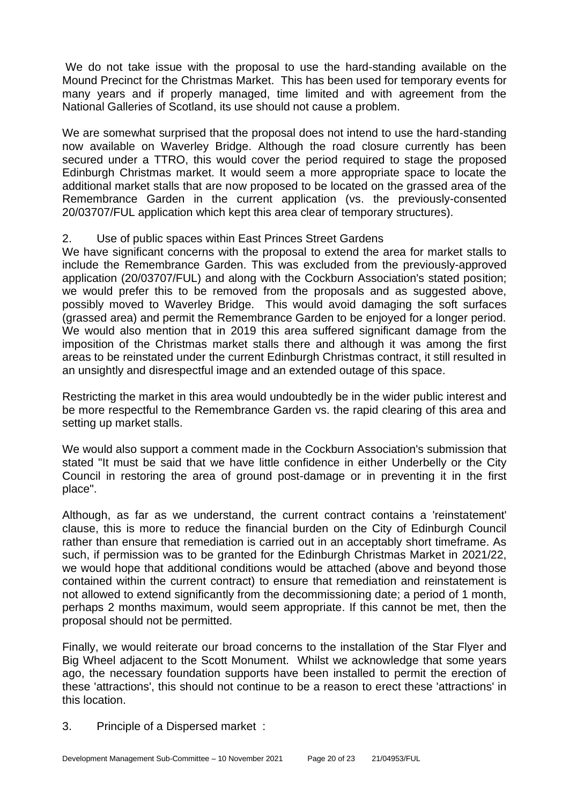We do not take issue with the proposal to use the hard-standing available on the Mound Precinct for the Christmas Market. This has been used for temporary events for many years and if properly managed, time limited and with agreement from the National Galleries of Scotland, its use should not cause a problem.

We are somewhat surprised that the proposal does not intend to use the hard-standing now available on Waverley Bridge. Although the road closure currently has been secured under a TTRO, this would cover the period required to stage the proposed Edinburgh Christmas market. It would seem a more appropriate space to locate the additional market stalls that are now proposed to be located on the grassed area of the Remembrance Garden in the current application (vs. the previously-consented 20/03707/FUL application which kept this area clear of temporary structures).

#### 2. Use of public spaces within East Princes Street Gardens

We have significant concerns with the proposal to extend the area for market stalls to include the Remembrance Garden. This was excluded from the previously-approved application (20/03707/FUL) and along with the Cockburn Association's stated position; we would prefer this to be removed from the proposals and as suggested above, possibly moved to Waverley Bridge. This would avoid damaging the soft surfaces (grassed area) and permit the Remembrance Garden to be enjoyed for a longer period. We would also mention that in 2019 this area suffered significant damage from the imposition of the Christmas market stalls there and although it was among the first areas to be reinstated under the current Edinburgh Christmas contract, it still resulted in an unsightly and disrespectful image and an extended outage of this space.

Restricting the market in this area would undoubtedly be in the wider public interest and be more respectful to the Remembrance Garden vs. the rapid clearing of this area and setting up market stalls.

We would also support a comment made in the Cockburn Association's submission that stated "It must be said that we have little confidence in either Underbelly or the City Council in restoring the area of ground post-damage or in preventing it in the first place".

Although, as far as we understand, the current contract contains a 'reinstatement' clause, this is more to reduce the financial burden on the City of Edinburgh Council rather than ensure that remediation is carried out in an acceptably short timeframe. As such, if permission was to be granted for the Edinburgh Christmas Market in 2021/22, we would hope that additional conditions would be attached (above and beyond those contained within the current contract) to ensure that remediation and reinstatement is not allowed to extend significantly from the decommissioning date; a period of 1 month, perhaps 2 months maximum, would seem appropriate. If this cannot be met, then the proposal should not be permitted.

Finally, we would reiterate our broad concerns to the installation of the Star Flyer and Big Wheel adjacent to the Scott Monument. Whilst we acknowledge that some years ago, the necessary foundation supports have been installed to permit the erection of these 'attractions', this should not continue to be a reason to erect these 'attractions' in this location.

3. Principle of a Dispersed market :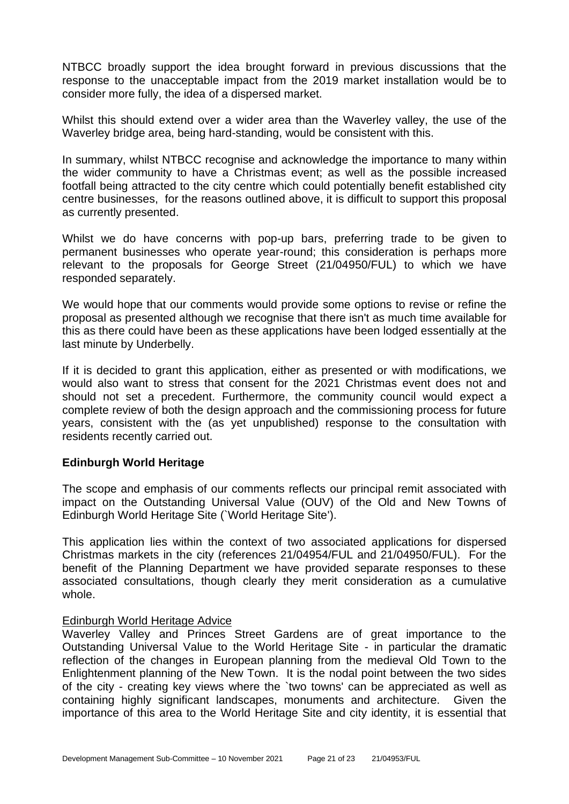NTBCC broadly support the idea brought forward in previous discussions that the response to the unacceptable impact from the 2019 market installation would be to consider more fully, the idea of a dispersed market.

Whilst this should extend over a wider area than the Waverley valley, the use of the Waverley bridge area, being hard-standing, would be consistent with this.

In summary, whilst NTBCC recognise and acknowledge the importance to many within the wider community to have a Christmas event; as well as the possible increased footfall being attracted to the city centre which could potentially benefit established city centre businesses, for the reasons outlined above, it is difficult to support this proposal as currently presented.

Whilst we do have concerns with pop-up bars, preferring trade to be given to permanent businesses who operate year-round; this consideration is perhaps more relevant to the proposals for George Street (21/04950/FUL) to which we have responded separately.

We would hope that our comments would provide some options to revise or refine the proposal as presented although we recognise that there isn't as much time available for this as there could have been as these applications have been lodged essentially at the last minute by Underbelly.

If it is decided to grant this application, either as presented or with modifications, we would also want to stress that consent for the 2021 Christmas event does not and should not set a precedent. Furthermore, the community council would expect a complete review of both the design approach and the commissioning process for future years, consistent with the (as yet unpublished) response to the consultation with residents recently carried out.

#### **Edinburgh World Heritage**

The scope and emphasis of our comments reflects our principal remit associated with impact on the Outstanding Universal Value (OUV) of the Old and New Towns of Edinburgh World Heritage Site (`World Heritage Site').

This application lies within the context of two associated applications for dispersed Christmas markets in the city (references 21/04954/FUL and 21/04950/FUL). For the benefit of the Planning Department we have provided separate responses to these associated consultations, though clearly they merit consideration as a cumulative whole.

#### Edinburgh World Heritage Advice

Waverley Valley and Princes Street Gardens are of great importance to the Outstanding Universal Value to the World Heritage Site - in particular the dramatic reflection of the changes in European planning from the medieval Old Town to the Enlightenment planning of the New Town. It is the nodal point between the two sides of the city - creating key views where the `two towns' can be appreciated as well as containing highly significant landscapes, monuments and architecture. Given the importance of this area to the World Heritage Site and city identity, it is essential that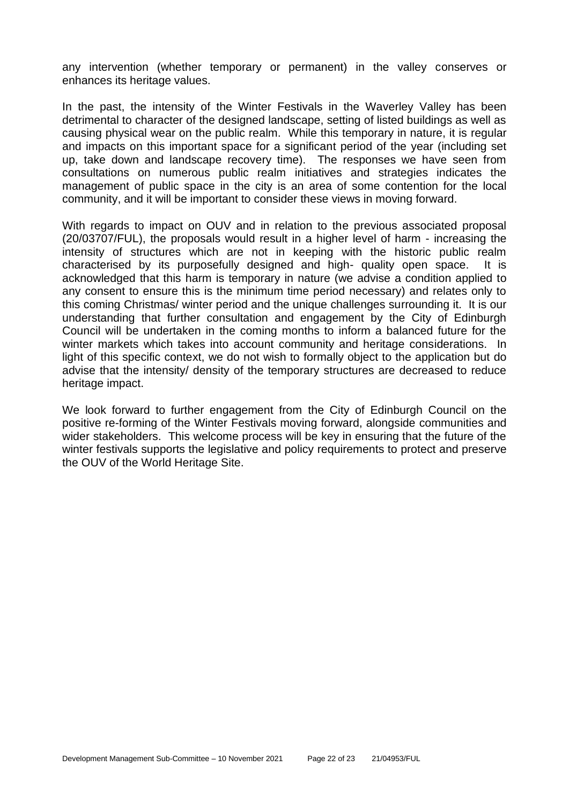any intervention (whether temporary or permanent) in the valley conserves or enhances its heritage values.

In the past, the intensity of the Winter Festivals in the Waverley Valley has been detrimental to character of the designed landscape, setting of listed buildings as well as causing physical wear on the public realm. While this temporary in nature, it is regular and impacts on this important space for a significant period of the year (including set up, take down and landscape recovery time). The responses we have seen from consultations on numerous public realm initiatives and strategies indicates the management of public space in the city is an area of some contention for the local community, and it will be important to consider these views in moving forward.

With regards to impact on OUV and in relation to the previous associated proposal (20/03707/FUL), the proposals would result in a higher level of harm - increasing the intensity of structures which are not in keeping with the historic public realm characterised by its purposefully designed and high- quality open space. It is acknowledged that this harm is temporary in nature (we advise a condition applied to any consent to ensure this is the minimum time period necessary) and relates only to this coming Christmas/ winter period and the unique challenges surrounding it. It is our understanding that further consultation and engagement by the City of Edinburgh Council will be undertaken in the coming months to inform a balanced future for the winter markets which takes into account community and heritage considerations. In light of this specific context, we do not wish to formally object to the application but do advise that the intensity/ density of the temporary structures are decreased to reduce heritage impact.

We look forward to further engagement from the City of Edinburgh Council on the positive re-forming of the Winter Festivals moving forward, alongside communities and wider stakeholders. This welcome process will be key in ensuring that the future of the winter festivals supports the legislative and policy requirements to protect and preserve the OUV of the World Heritage Site.